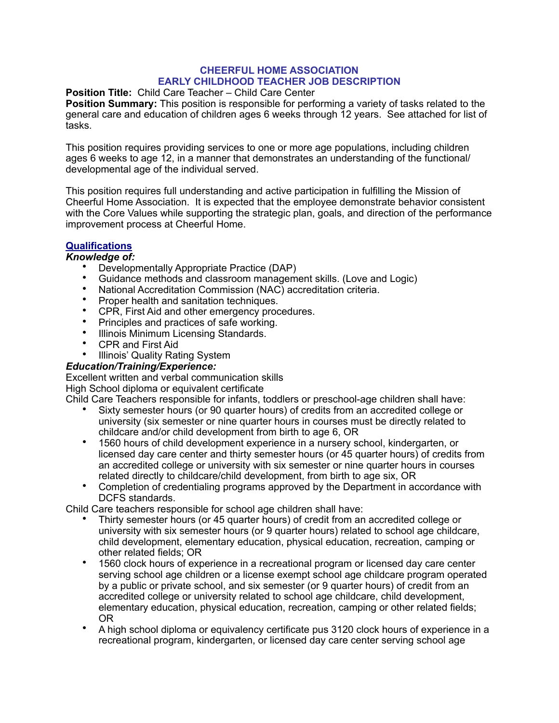## **CHEERFUL HOME ASSOCIATION EARLY CHILDHOOD TEACHER JOB DESCRIPTION**

#### **Position Title:** Child Care Teacher – Child Care Center

**Position Summary:** This position is responsible for performing a variety of tasks related to the general care and education of children ages 6 weeks through 12 years. See attached for list of tasks.

This position requires providing services to one or more age populations, including children ages 6 weeks to age 12, in a manner that demonstrates an understanding of the functional/ developmental age of the individual served.

This position requires full understanding and active participation in fulfilling the Mission of Cheerful Home Association. It is expected that the employee demonstrate behavior consistent with the Core Values while supporting the strategic plan, goals, and direction of the performance improvement process at Cheerful Home.

# **Qualifications**

# *Knowledge of:*

- Developmentally Appropriate Practice (DAP)
- Guidance methods and classroom management skills. (Love and Logic)
- National Accreditation Commission (NAC) accreditation criteria.
- Proper health and sanitation techniques.
- CPR, First Aid and other emergency procedures.
- Principles and practices of safe working.
- Illinois Minimum Licensing Standards.
- CPR and First Aid
- Illinois' Quality Rating System

### *Education/Training/Experience:*

Excellent written and verbal communication skills High School diploma or equivalent certificate

Child Care Teachers responsible for infants, toddlers or preschool-age children shall have:

- Sixty semester hours (or 90 quarter hours) of credits from an accredited college or university (six semester or nine quarter hours in courses must be directly related to childcare and/or child development from birth to age 6, OR
- 1560 hours of child development experience in a nursery school, kindergarten, or licensed day care center and thirty semester hours (or 45 quarter hours) of credits from an accredited college or university with six semester or nine quarter hours in courses related directly to childcare/child development, from birth to age six, OR
- Completion of credentialing programs approved by the Department in accordance with DCFS standards.

Child Care teachers responsible for school age children shall have:

- Thirty semester hours (or 45 quarter hours) of credit from an accredited college or university with six semester hours (or 9 quarter hours) related to school age childcare, child development, elementary education, physical education, recreation, camping or other related fields; OR
- 1560 clock hours of experience in a recreational program or licensed day care center serving school age children or a license exempt school age childcare program operated by a public or private school, and six semester (or 9 quarter hours) of credit from an accredited college or university related to school age childcare, child development, elementary education, physical education, recreation, camping or other related fields; OR
- A high school diploma or equivalency certificate pus 3120 clock hours of experience in a recreational program, kindergarten, or licensed day care center serving school age